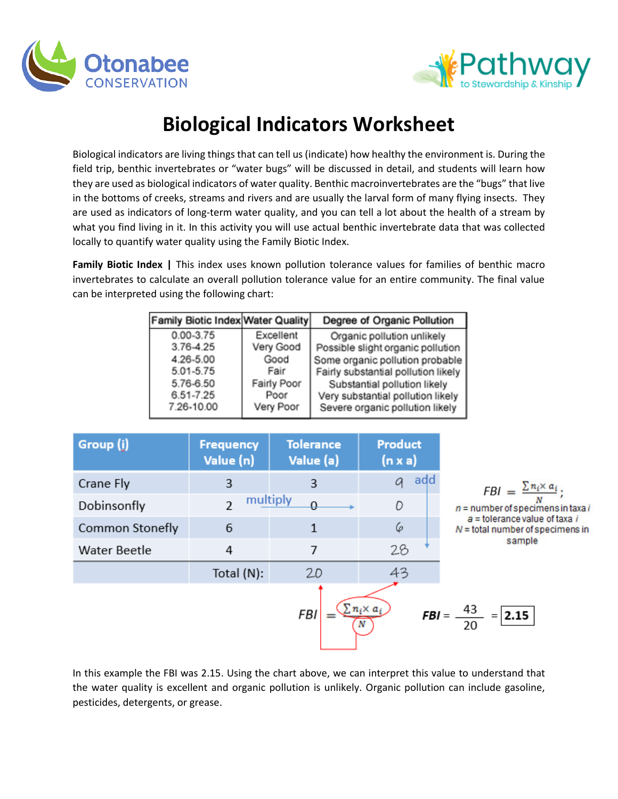



## **Biological Indicators Worksheet**

Biological indicators are living things that can tell us (indicate) how healthy the environment is. During the field trip, benthic invertebrates or "water bugs" will be discussed in detail, and students will learn how they are used as biological indicators of water quality. Benthic macroinvertebrates are the "bugs" that live in the bottoms of creeks, streams and rivers and are usually the larval form of many flying insects. They are used as indicators of long-term water quality, and you can tell a lot about the health of a stream by what you find living in it. In this activity you will use actual benthic invertebrate data that was collected locally to quantify water quality using the Family Biotic Index.

**Family Biotic Index |** This index uses known pollution tolerance values for families of benthic macro invertebrates to calculate an overall pollution tolerance value for an entire community. The final value can be interpreted using the following chart:

| Family Biotic Index Water Quality |             | Degree of Organic Pollution         |
|-----------------------------------|-------------|-------------------------------------|
| $0.00 - 3.75$                     | Excellent   | Organic pollution unlikely          |
| 3.76-4.25                         | Very Good   | Possible slight organic pollution   |
| 4.26-5.00                         | Good        | Some organic pollution probable     |
| 5.01-5.75                         | Fair        | Fairly substantial pollution likely |
| 5.76-6.50                         | Fairly Poor | Substantial pollution likely        |
| 6.51-7.25                         | Poor        | Very substantial pollution likely   |
| 7.26-10.00                        | Very Poor   | Severe organic pollution likely     |



In this example the FBI was 2.15. Using the chart above, we can interpret this value to understand that the water quality is excellent and organic pollution is unlikely. Organic pollution can include gasoline, pesticides, detergents, or grease.